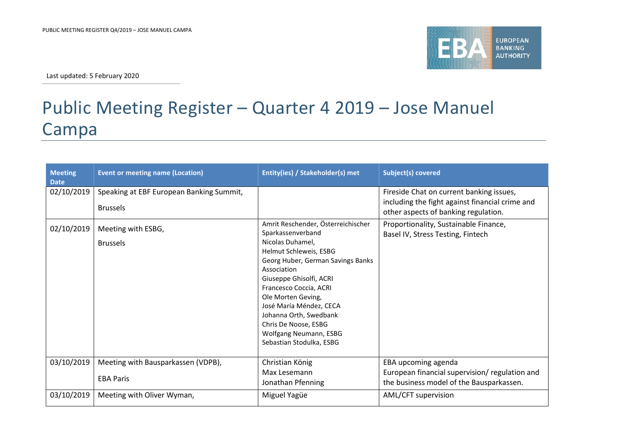

Last updated: 5 February 2020

## Public Meeting Register – Quarter 4 2019 – Jose Manuel Campa

| <b>Meeting</b><br><b>Date</b> | <b>Event or meeting name (Location)</b>  | Entity(ies) / Stakeholder(s) met                        | <b>Subject(s) covered</b>                                                               |
|-------------------------------|------------------------------------------|---------------------------------------------------------|-----------------------------------------------------------------------------------------|
| 02/10/2019                    | Speaking at EBF European Banking Summit, |                                                         | Fireside Chat on current banking issues,                                                |
|                               | <b>Brussels</b>                          |                                                         | including the fight against financial crime and<br>other aspects of banking regulation. |
| 02/10/2019                    | Meeting with ESBG,                       | Amrit Reschender, Österreichischer<br>Sparkassenverband | Proportionality, Sustainable Finance,<br>Basel IV, Stress Testing, Fintech              |
|                               | <b>Brussels</b>                          | Nicolas Duhamel,                                        |                                                                                         |
|                               |                                          | Helmut Schleweis, ESBG                                  |                                                                                         |
|                               |                                          | Georg Huber, German Savings Banks<br>Association        |                                                                                         |
|                               |                                          | Giuseppe Ghisolfi, ACRI                                 |                                                                                         |
|                               |                                          | Francesco Coccia, ACRI                                  |                                                                                         |
|                               |                                          | Ole Morten Geving,                                      |                                                                                         |
|                               |                                          | José María Méndez, CECA                                 |                                                                                         |
|                               |                                          | Johanna Orth, Swedbank                                  |                                                                                         |
|                               |                                          | Chris De Noose, ESBG                                    |                                                                                         |
|                               |                                          | Wolfgang Neumann, ESBG<br>Sebastian Stodulka, ESBG      |                                                                                         |
|                               |                                          |                                                         |                                                                                         |
| 03/10/2019                    | Meeting with Bausparkassen (VDPB),       | Christian König                                         | EBA upcoming agenda                                                                     |
|                               |                                          | Max Lesemann                                            | European financial supervision/regulation and                                           |
|                               | <b>EBA Paris</b>                         | Jonathan Pfenning                                       | the business model of the Bausparkassen.                                                |
| 03/10/2019                    | Meeting with Oliver Wyman,               | Miguel Yagüe                                            | AML/CFT supervision                                                                     |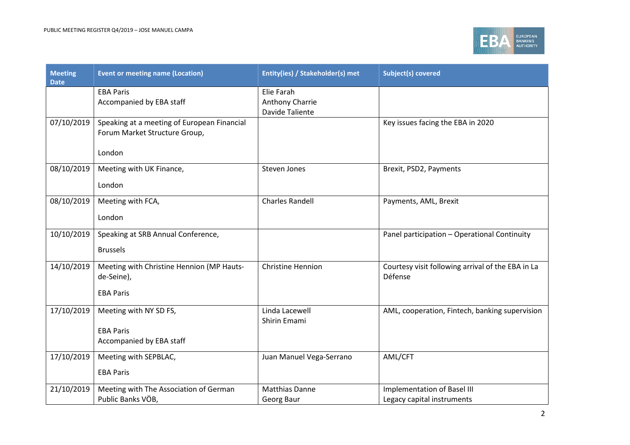

| <b>Meeting</b><br><b>Date</b> | <b>Event or meeting name (Location)</b>     | Entity(ies) / Stakeholder(s) met | <b>Subject(s) covered</b>                         |
|-------------------------------|---------------------------------------------|----------------------------------|---------------------------------------------------|
|                               | <b>EBA Paris</b>                            | Elie Farah                       |                                                   |
|                               | Accompanied by EBA staff                    | Anthony Charrie                  |                                                   |
|                               |                                             | <b>Davide Taliente</b>           |                                                   |
| 07/10/2019                    | Speaking at a meeting of European Financial |                                  | Key issues facing the EBA in 2020                 |
|                               | Forum Market Structure Group,               |                                  |                                                   |
|                               | London                                      |                                  |                                                   |
|                               |                                             |                                  |                                                   |
| 08/10/2019                    | Meeting with UK Finance,                    | <b>Steven Jones</b>              | Brexit, PSD2, Payments                            |
|                               | London                                      |                                  |                                                   |
| 08/10/2019                    | Meeting with FCA,                           | <b>Charles Randell</b>           | Payments, AML, Brexit                             |
|                               | London                                      |                                  |                                                   |
| 10/10/2019                    | Speaking at SRB Annual Conference,          |                                  | Panel participation - Operational Continuity      |
|                               |                                             |                                  |                                                   |
|                               | <b>Brussels</b>                             |                                  |                                                   |
| 14/10/2019                    | Meeting with Christine Hennion (MP Hauts-   | <b>Christine Hennion</b>         | Courtesy visit following arrival of the EBA in La |
|                               | de-Seine),                                  |                                  | Défense                                           |
|                               | <b>EBA Paris</b>                            |                                  |                                                   |
| 17/10/2019                    | Meeting with NY SD FS,                      | Linda Lacewell                   | AML, cooperation, Fintech, banking supervision    |
|                               |                                             | Shirin Emami                     |                                                   |
|                               | <b>EBA Paris</b>                            |                                  |                                                   |
|                               | Accompanied by EBA staff                    |                                  |                                                   |
| 17/10/2019                    | Meeting with SEPBLAC,                       | Juan Manuel Vega-Serrano         | AML/CFT                                           |
|                               | <b>EBA Paris</b>                            |                                  |                                                   |
| 21/10/2019                    | Meeting with The Association of German      | <b>Matthias Danne</b>            | <b>Implementation of Basel III</b>                |
|                               | Public Banks VÖB,                           | Georg Baur                       | Legacy capital instruments                        |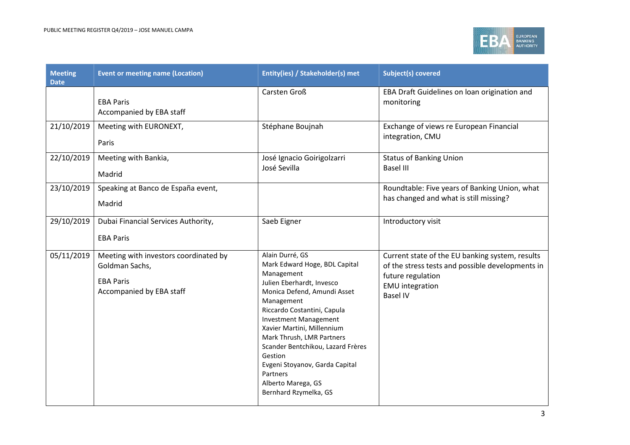

| <b>Meeting</b><br><b>Date</b> | <b>Event or meeting name (Location)</b>                                                                 | Entity(ies) / Stakeholder(s) met                                                                                                                                                                                                                                                                                                                                                                                | <b>Subject(s) covered</b>                                                                                                                                             |
|-------------------------------|---------------------------------------------------------------------------------------------------------|-----------------------------------------------------------------------------------------------------------------------------------------------------------------------------------------------------------------------------------------------------------------------------------------------------------------------------------------------------------------------------------------------------------------|-----------------------------------------------------------------------------------------------------------------------------------------------------------------------|
|                               | <b>EBA Paris</b><br>Accompanied by EBA staff                                                            | Carsten Groß                                                                                                                                                                                                                                                                                                                                                                                                    | EBA Draft Guidelines on loan origination and<br>monitoring                                                                                                            |
| 21/10/2019                    | Meeting with EURONEXT,<br>Paris                                                                         | Stéphane Boujnah                                                                                                                                                                                                                                                                                                                                                                                                | Exchange of views re European Financial<br>integration, CMU                                                                                                           |
| 22/10/2019                    | Meeting with Bankia,<br>Madrid                                                                          | José Ignacio Goirigolzarri<br>José Sevilla                                                                                                                                                                                                                                                                                                                                                                      | <b>Status of Banking Union</b><br><b>Basel III</b>                                                                                                                    |
| 23/10/2019                    | Speaking at Banco de España event,<br>Madrid                                                            |                                                                                                                                                                                                                                                                                                                                                                                                                 | Roundtable: Five years of Banking Union, what<br>has changed and what is still missing?                                                                               |
| 29/10/2019                    | Dubai Financial Services Authority,<br><b>EBA Paris</b>                                                 | Saeb Eigner                                                                                                                                                                                                                                                                                                                                                                                                     | Introductory visit                                                                                                                                                    |
| 05/11/2019                    | Meeting with investors coordinated by<br>Goldman Sachs,<br><b>EBA Paris</b><br>Accompanied by EBA staff | Alain Durré, GS<br>Mark Edward Hoge, BDL Capital<br>Management<br>Julien Eberhardt, Invesco<br>Monica Defend, Amundi Asset<br>Management<br>Riccardo Costantini, Capula<br><b>Investment Management</b><br>Xavier Martini, Millennium<br>Mark Thrush, LMR Partners<br>Scander Bentchikou, Lazard Frères<br>Gestion<br>Evgeni Stoyanov, Garda Capital<br>Partners<br>Alberto Marega, GS<br>Bernhard Rzymelka, GS | Current state of the EU banking system, results<br>of the stress tests and possible developments in<br>future regulation<br><b>EMU</b> integration<br><b>Basel IV</b> |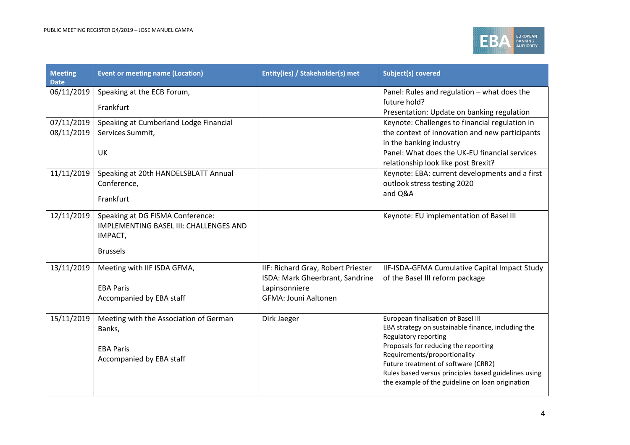

| <b>Meeting</b><br><b>Date</b> | <b>Event or meeting name (Location)</b> | Entity(ies) / Stakeholder(s) met   | <b>Subject(s) covered</b>                                                                   |
|-------------------------------|-----------------------------------------|------------------------------------|---------------------------------------------------------------------------------------------|
| 06/11/2019                    | Speaking at the ECB Forum,              |                                    | Panel: Rules and regulation - what does the                                                 |
|                               | Frankfurt                               |                                    | future hold?<br>Presentation: Update on banking regulation                                  |
| 07/11/2019                    | Speaking at Cumberland Lodge Financial  |                                    | Keynote: Challenges to financial regulation in                                              |
| 08/11/2019                    | Services Summit,                        |                                    | the context of innovation and new participants                                              |
|                               |                                         |                                    | in the banking industry                                                                     |
|                               | UK                                      |                                    | Panel: What does the UK-EU financial services                                               |
|                               |                                         |                                    | relationship look like post Brexit?                                                         |
| 11/11/2019                    | Speaking at 20th HANDELSBLATT Annual    |                                    | Keynote: EBA: current developments and a first                                              |
|                               | Conference,                             |                                    | outlook stress testing 2020                                                                 |
|                               | Frankfurt                               |                                    | and Q&A                                                                                     |
|                               |                                         |                                    |                                                                                             |
| 12/11/2019                    | Speaking at DG FISMA Conference:        |                                    | Keynote: EU implementation of Basel III                                                     |
|                               | IMPLEMENTING BASEL III: CHALLENGES AND  |                                    |                                                                                             |
|                               | IMPACT,                                 |                                    |                                                                                             |
|                               | <b>Brussels</b>                         |                                    |                                                                                             |
| 13/11/2019                    | Meeting with IIF ISDA GFMA,             | IIF: Richard Gray, Robert Priester | IIF-ISDA-GFMA Cumulative Capital Impact Study                                               |
|                               |                                         | ISDA: Mark Gheerbrant, Sandrine    | of the Basel III reform package                                                             |
|                               | <b>EBA Paris</b>                        | Lapinsonniere                      |                                                                                             |
|                               | Accompanied by EBA staff                | <b>GFMA: Jouni Aaltonen</b>        |                                                                                             |
| 15/11/2019                    | Meeting with the Association of German  | Dirk Jaeger                        | European finalisation of Basel III                                                          |
|                               | Banks,                                  |                                    | EBA strategy on sustainable finance, including the                                          |
|                               |                                         |                                    | Regulatory reporting                                                                        |
|                               | <b>EBA Paris</b>                        |                                    | Proposals for reducing the reporting                                                        |
|                               | Accompanied by EBA staff                |                                    | Requirements/proportionality                                                                |
|                               |                                         |                                    | Future treatment of software (CRR2)<br>Rules based versus principles based guidelines using |
|                               |                                         |                                    | the example of the guideline on loan origination                                            |
|                               |                                         |                                    |                                                                                             |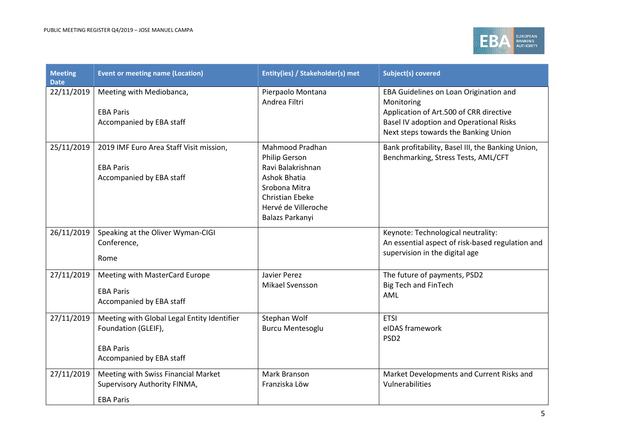

| <b>Meeting</b><br><b>Date</b> | <b>Event or meeting name (Location)</b>                                                                            | Entity(ies) / Stakeholder(s) met                                                                                                                                  | <b>Subject(s) covered</b>                                                                                                                                                                 |
|-------------------------------|--------------------------------------------------------------------------------------------------------------------|-------------------------------------------------------------------------------------------------------------------------------------------------------------------|-------------------------------------------------------------------------------------------------------------------------------------------------------------------------------------------|
| 22/11/2019                    | Meeting with Mediobanca,<br><b>EBA Paris</b><br>Accompanied by EBA staff                                           | Pierpaolo Montana<br>Andrea Filtri                                                                                                                                | EBA Guidelines on Loan Origination and<br>Monitoring<br>Application of Art.500 of CRR directive<br><b>Basel IV adoption and Operational Risks</b><br>Next steps towards the Banking Union |
| 25/11/2019                    | 2019 IMF Euro Area Staff Visit mission,<br><b>EBA Paris</b><br>Accompanied by EBA staff                            | Mahmood Pradhan<br>Philip Gerson<br>Ravi Balakrishnan<br><b>Ashok Bhatia</b><br>Srobona Mitra<br><b>Christian Ebeke</b><br>Hervé de Villeroche<br>Balazs Parkanyi | Bank profitability, Basel III, the Banking Union,<br>Benchmarking, Stress Tests, AML/CFT                                                                                                  |
| 26/11/2019                    | Speaking at the Oliver Wyman-CIGI<br>Conference,<br>Rome                                                           |                                                                                                                                                                   | Keynote: Technological neutrality:<br>An essential aspect of risk-based regulation and<br>supervision in the digital age                                                                  |
| 27/11/2019                    | Meeting with MasterCard Europe<br><b>EBA Paris</b><br>Accompanied by EBA staff                                     | Javier Perez<br>Mikael Svensson                                                                                                                                   | The future of payments, PSD2<br><b>Big Tech and FinTech</b><br>AML                                                                                                                        |
| 27/11/2019                    | Meeting with Global Legal Entity Identifier<br>Foundation (GLEIF),<br><b>EBA Paris</b><br>Accompanied by EBA staff | Stephan Wolf<br><b>Burcu Mentesoglu</b>                                                                                                                           | <b>ETSI</b><br>eIDAS framework<br>PSD <sub>2</sub>                                                                                                                                        |
| 27/11/2019                    | Meeting with Swiss Financial Market<br>Supervisory Authority FINMA,<br><b>EBA Paris</b>                            | Mark Branson<br>Franziska Löw                                                                                                                                     | Market Developments and Current Risks and<br>Vulnerabilities                                                                                                                              |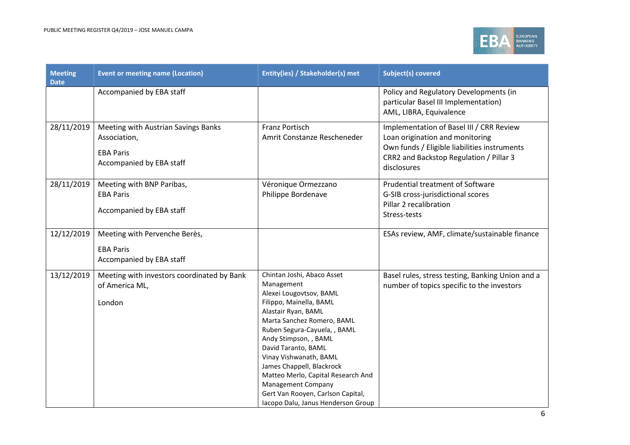

| <b>Meeting</b><br><b>Date</b> | <b>Event or meeting name (Location)</b>                                                             | Entity(ies) / Stakeholder(s) met                                                                                                                                                                                                                                                                                                                                                                                                  | <b>Subject(s) covered</b>                                                                                                                                                             |
|-------------------------------|-----------------------------------------------------------------------------------------------------|-----------------------------------------------------------------------------------------------------------------------------------------------------------------------------------------------------------------------------------------------------------------------------------------------------------------------------------------------------------------------------------------------------------------------------------|---------------------------------------------------------------------------------------------------------------------------------------------------------------------------------------|
|                               | Accompanied by EBA staff                                                                            |                                                                                                                                                                                                                                                                                                                                                                                                                                   | Policy and Regulatory Developments (in<br>particular Basel III Implementation)<br>AML, LIBRA, Equivalence                                                                             |
| 28/11/2019                    | Meeting with Austrian Savings Banks<br>Association,<br><b>EBA Paris</b><br>Accompanied by EBA staff | <b>Franz Portisch</b><br>Amrit Constanze Rescheneder                                                                                                                                                                                                                                                                                                                                                                              | Implementation of Basel III / CRR Review<br>Loan origination and monitoring<br>Own funds / Eligible liabilities instruments<br>CRR2 and Backstop Regulation / Pillar 3<br>disclosures |
| 28/11/2019                    | Meeting with BNP Paribas,<br><b>EBA Paris</b><br>Accompanied by EBA staff                           | Véronique Ormezzano<br>Philippe Bordenave                                                                                                                                                                                                                                                                                                                                                                                         | Prudential treatment of Software<br>G-SIB cross-jurisdictional scores<br>Pillar 2 recalibration<br>Stress-tests                                                                       |
| 12/12/2019                    | Meeting with Pervenche Berès,<br><b>EBA Paris</b><br>Accompanied by EBA staff                       |                                                                                                                                                                                                                                                                                                                                                                                                                                   | ESAs review, AMF, climate/sustainable finance                                                                                                                                         |
| 13/12/2019                    | Meeting with investors coordinated by Bank<br>of America ML,<br>London                              | Chintan Joshi, Abaco Asset<br>Management<br>Alexei Lougovtsov, BAML<br>Filippo, Mainella, BAML<br>Alastair Ryan, BAML<br>Marta Sanchez Romero, BAML<br>Ruben Segura-Cayuela, , BAML<br>Andy Stimpson, , BAML<br>David Taranto, BAML<br>Vinay Vishwanath, BAML<br>James Chappell, Blackrock<br>Matteo Merlo, Capital Research And<br>Management Company<br>Gert Van Rooyen, Carlson Capital,<br>Iacopo Dalu, Janus Henderson Group | Basel rules, stress testing, Banking Union and a<br>number of topics specific to the investors                                                                                        |